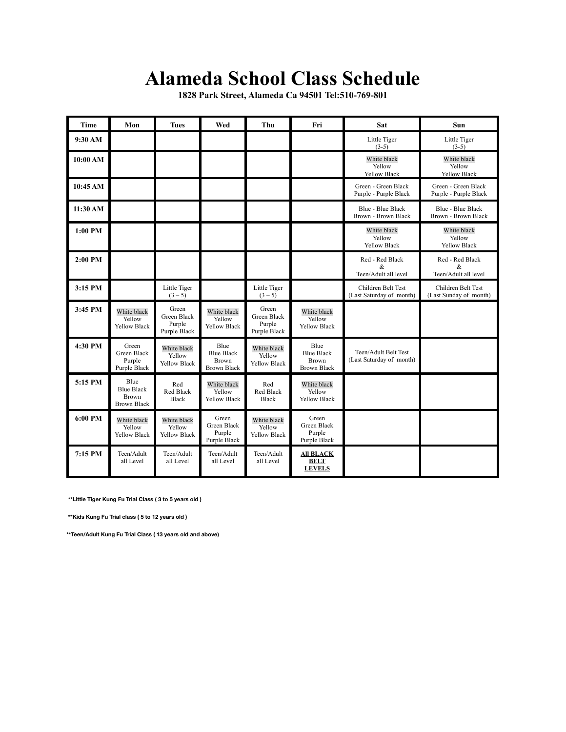## **Alameda School Class Schedule**

**1828 Park Street, Alameda Ca 94501 Tel:510-769-801** 

| <b>Time</b> | Mon                                                             | <b>Tues</b>                                    | Wed                                                             | Thu                                            | Fri                                                             | Sat                                              | Sun                                             |
|-------------|-----------------------------------------------------------------|------------------------------------------------|-----------------------------------------------------------------|------------------------------------------------|-----------------------------------------------------------------|--------------------------------------------------|-------------------------------------------------|
| 9:30 AM     |                                                                 |                                                |                                                                 |                                                |                                                                 | Little Tiger<br>$(3-5)$                          | Little Tiger<br>$(3-5)$                         |
| 10:00 AM    |                                                                 |                                                |                                                                 |                                                |                                                                 | White black<br>Yellow<br><b>Yellow Black</b>     | White black<br>Yellow<br>Yellow Black           |
| 10:45 AM    |                                                                 |                                                |                                                                 |                                                |                                                                 | Green - Green Black<br>Purple - Purple Black     | Green - Green Black<br>Purple - Purple Black    |
| 11:30 AM    |                                                                 |                                                |                                                                 |                                                |                                                                 | Blue - Blue Black<br>Brown - Brown Black         | <b>Blue - Blue Black</b><br>Brown - Brown Black |
| $1:00$ PM   |                                                                 |                                                |                                                                 |                                                |                                                                 | White black<br>Yellow<br><b>Yellow Black</b>     | White black<br>Yellow<br><b>Yellow Black</b>    |
| 2:00 PM     |                                                                 |                                                |                                                                 |                                                |                                                                 | Red - Red Black<br>&<br>Teen/Adult all level     | Red - Red Black<br>&<br>Teen/Adult all level    |
| 3:15 PM     |                                                                 | Little Tiger<br>$(3 - 5)$                      |                                                                 | Little Tiger<br>$(3 - 5)$                      |                                                                 | Children Belt Test<br>(Last Saturday of month)   | Children Belt Test<br>(Last Sunday of month)    |
| 3:45 PM     | White black<br>Yellow<br><b>Yellow Black</b>                    | Green<br>Green Black<br>Purple<br>Purple Black | White black<br>Yellow<br><b>Yellow Black</b>                    | Green<br>Green Black<br>Purple<br>Purple Black | White black<br>Yellow<br><b>Yellow Black</b>                    |                                                  |                                                 |
| 4:30 PM     | Green<br>Green Black<br>Purple<br>Purple Black                  | White black<br>Yellow<br><b>Yellow Black</b>   | Blue<br><b>Blue Black</b><br><b>Brown</b><br><b>Brown Black</b> | White black<br>Yellow<br><b>Yellow Black</b>   | Blue<br><b>Blue Black</b><br><b>Brown</b><br><b>Brown Black</b> | Teen/Adult Belt Test<br>(Last Saturday of month) |                                                 |
| 5:15 PM     | Blue<br><b>Blue Black</b><br><b>Brown</b><br><b>Brown Black</b> | Red<br><b>Red Black</b><br><b>Black</b>        | White black<br>Yellow<br><b>Yellow Black</b>                    | Red<br><b>Red Black</b><br><b>Black</b>        | White black<br>Yellow<br><b>Yellow Black</b>                    |                                                  |                                                 |
| 6:00 PM     | White black<br>Yellow<br><b>Yellow Black</b>                    | White black<br>Yellow<br><b>Yellow Black</b>   | Green<br>Green Black<br>Purple<br>Purple Black                  | White black<br>Yellow<br><b>Yellow Black</b>   | Green<br>Green Black<br>Purple<br>Purple Black                  |                                                  |                                                 |
| 7:15 PM     | Teen/Adult<br>all Level                                         | Teen/Adult<br>all Level                        | Teen/Adult<br>all Level                                         | Teen/Adult<br>all Level                        | <b>All BLACK</b><br><b>BELT</b><br><b>LEVELS</b>                |                                                  |                                                 |

 **\*\*Little Tiger Kung Fu Trial Class ( 3 to 5 years old )** 

 **\*\*Kids Kung Fu Trial class ( 5 to 12 years old )** 

**\*\*Teen/Adult Kung Fu Trial Class ( 13 years old and above)**